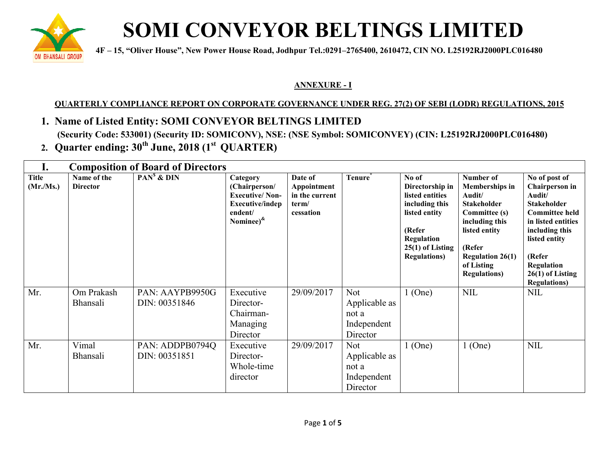

## **SOMI CONVEYOR BELTINGS LIMITED**

**1 4F** – 15, "Oliver House", New Power House Road, Jodhpur Tel.:0291–2765400, 2610472, CIN NO. L25192RJ2000PLC016480

## **ANNEXURE - I**

## <u>QUARTERLY COMPLIANCE REPORT ON CORPORATE GOVERNANCE UNDER REG. 27(2) OF SEBI (LODR) REGULATIONS, 2015</u>

## **1. Name of Listed Entity: SOMI CONVEYOR BELTINGS LIMITED**

(Security Code: 533001) (Security ID: SOMICONV), NSE: (NSE Symbol: SOMICONVEY) (CIN: L25192RJ2000PLC016480)

**2. Quarter ending: 30th June, 2018 (1st QU QUARTER)**

| ı.                       | <b>Composition of Board of Directors</b> |                                  |                                                                                                              |                                                                |                                                                 |                                                                                                                                                      |                                                                                                                                                                                                   |                                                                                                                                                                                                                                |
|--------------------------|------------------------------------------|----------------------------------|--------------------------------------------------------------------------------------------------------------|----------------------------------------------------------------|-----------------------------------------------------------------|------------------------------------------------------------------------------------------------------------------------------------------------------|---------------------------------------------------------------------------------------------------------------------------------------------------------------------------------------------------|--------------------------------------------------------------------------------------------------------------------------------------------------------------------------------------------------------------------------------|
| <b>Title</b><br>(Mr/Ms.) | Name of the<br><b>Director</b>           | $PANs$ & $DIN$                   | Category<br>(Chairperson/<br><b>Executive/Non-</b><br><b>Executive/indep</b><br>endent/<br>Nominee) $\kappa$ | Date of<br>Appointment<br>in the current<br>term/<br>cessation | <b>Tenure</b>                                                   | No of<br>Directorship in<br>listed entities<br>including this<br>listed entity<br>(Refer<br>Regulation<br>$25(1)$ of Listing<br><b>Regulations</b> ) | Number of<br><b>Memberships in</b><br>Audit/<br><b>Stakeholder</b><br>Committee (s)<br>including this<br>listed entity<br>(Refer<br><b>Regulation 26(1)</b><br>of Listing<br><b>Regulations</b> ) | No of post of<br><b>Chairperson</b> in<br>Audit/<br><b>Stakeholder</b><br><b>Committee held</b><br>in listed entities<br>including this<br>listed entity<br>(Refer<br>Regulation<br>$26(1)$ of Listing<br><b>Regulations</b> ) |
| Mr.                      | Om Prakash<br><b>Bhansali</b>            | PAN: AAYPB9950G<br>DIN: 00351846 | Executive<br>Director-<br>Chairman-<br>Managing<br>Director                                                  | 29/09/2017                                                     | <b>Not</b><br>Applicable as<br>not a<br>Independent<br>Director | $1$ (One)                                                                                                                                            | <b>NIL</b>                                                                                                                                                                                        | <b>NIL</b>                                                                                                                                                                                                                     |
| Mr.                      | Vimal<br><b>Bhansali</b>                 | PAN: ADDPB0794Q<br>DIN: 00351851 | Executive<br>Director-<br>Whole-time<br>director                                                             | 29/09/2017                                                     | <b>Not</b><br>Applicable as<br>not a<br>Independent<br>Director | $1$ (One)                                                                                                                                            | $1$ (One)                                                                                                                                                                                         | <b>NIL</b>                                                                                                                                                                                                                     |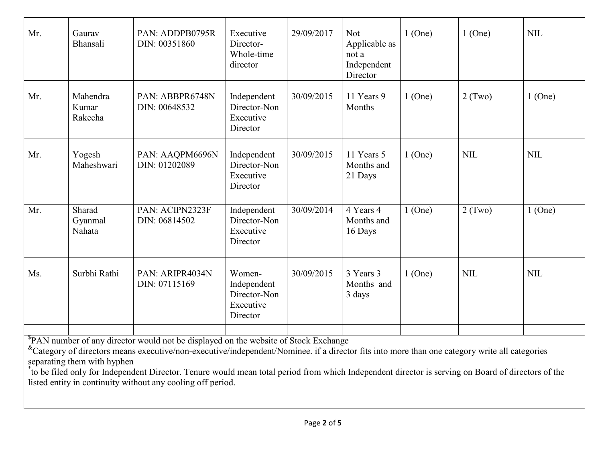| Mr.                                                                                                                                                                                                                                                                                                                                                                                                                                                                                                    | Gaurav<br>Bhansali           | PAN: ADDPB0795R<br>DIN: 00351860 | Executive<br>Director-<br>Whole-time<br>director               | 29/09/2017 | <b>Not</b><br>Applicable as<br>not a<br>Independent<br>Director | $1$ (One) | $1$ (One)  | <b>NIL</b> |
|--------------------------------------------------------------------------------------------------------------------------------------------------------------------------------------------------------------------------------------------------------------------------------------------------------------------------------------------------------------------------------------------------------------------------------------------------------------------------------------------------------|------------------------------|----------------------------------|----------------------------------------------------------------|------------|-----------------------------------------------------------------|-----------|------------|------------|
| Mr.                                                                                                                                                                                                                                                                                                                                                                                                                                                                                                    | Mahendra<br>Kumar<br>Rakecha | PAN: ABBPR6748N<br>DIN: 00648532 | Independent<br>Director-Non<br>Executive<br>Director           | 30/09/2015 | 11 Years 9<br>Months                                            | $1$ (One) | $2$ (Two)  | $1$ (One)  |
| Mr.                                                                                                                                                                                                                                                                                                                                                                                                                                                                                                    | Yogesh<br>Maheshwari         | PAN: AAQPM6696N<br>DIN: 01202089 | Independent<br>Director-Non<br>Executive<br>Director           | 30/09/2015 | 11 Years 5<br>Months and<br>21 Days                             | $1$ (One) | <b>NIL</b> | <b>NIL</b> |
| Mr.                                                                                                                                                                                                                                                                                                                                                                                                                                                                                                    | Sharad<br>Gyanmal<br>Nahata  | PAN: ACIPN2323F<br>DIN: 06814502 | Independent<br>Director-Non<br>Executive<br>Director           | 30/09/2014 | 4 Years 4<br>Months and<br>16 Days                              | $1$ (One) | $2$ (Two)  | $1$ (One)  |
| Ms.                                                                                                                                                                                                                                                                                                                                                                                                                                                                                                    | Surbhi Rathi                 | PAN: ARIPR4034N<br>DIN: 07115169 | Women-<br>Independent<br>Director-Non<br>Executive<br>Director | 30/09/2015 | 3 Years 3<br>Months and<br>3 days                               | $1$ (One) | <b>NIL</b> | <b>NIL</b> |
| PAN number of any director would not be displayed on the website of Stock Exchange<br><sup>&amp;</sup> Category of directors means executive/non-executive/independent/Nominee. if a director fits into more than one category write all categories<br>separating them with hyphen<br>to be filed only for Independent Director. Tenure would mean total period from which Independent director is serving on Board of directors of the<br>listed entity in continuity without any cooling off period. |                              |                                  |                                                                |            |                                                                 |           |            |            |

Page **2** of **5**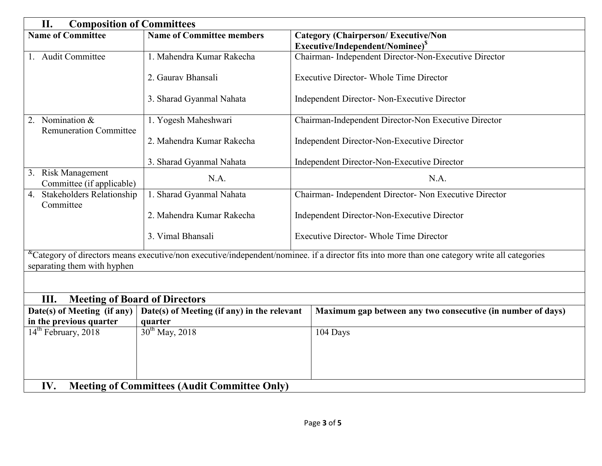| II.<br><b>Composition of Committees</b>                                    |                                  |                                                                                                                                                               |  |  |  |  |
|----------------------------------------------------------------------------|----------------------------------|---------------------------------------------------------------------------------------------------------------------------------------------------------------|--|--|--|--|
| <b>Name of Committee</b>                                                   | <b>Name of Committee members</b> | <b>Category (Chairperson/Executive/Non</b>                                                                                                                    |  |  |  |  |
|                                                                            |                                  | Executive/Independent/Nominee) <sup>S</sup>                                                                                                                   |  |  |  |  |
| 1. Audit Committee                                                         | 1. Mahendra Kumar Rakecha        | Chairman- Independent Director-Non-Executive Director                                                                                                         |  |  |  |  |
|                                                                            | 2. Gauray Bhansali               | <b>Executive Director- Whole Time Director</b>                                                                                                                |  |  |  |  |
|                                                                            | 3. Sharad Gyanmal Nahata         | Independent Director- Non-Executive Director                                                                                                                  |  |  |  |  |
| 2. Nomination &<br><b>Remuneration Committee</b>                           | 1. Yogesh Maheshwari             | Chairman-Independent Director-Non Executive Director                                                                                                          |  |  |  |  |
|                                                                            | 2. Mahendra Kumar Rakecha        | Independent Director-Non-Executive Director                                                                                                                   |  |  |  |  |
|                                                                            | 3. Sharad Gyanmal Nahata         | Independent Director-Non-Executive Director                                                                                                                   |  |  |  |  |
| 3. Risk Management<br>Committee (if applicable)                            | N.A.                             | N.A.                                                                                                                                                          |  |  |  |  |
| <b>Stakeholders Relationship</b><br>4.<br>Committee                        | 1. Sharad Gyanmal Nahata         | Chairman- Independent Director- Non Executive Director                                                                                                        |  |  |  |  |
|                                                                            | 2. Mahendra Kumar Rakecha        | Independent Director-Non-Executive Director                                                                                                                   |  |  |  |  |
|                                                                            | 3. Vimal Bhansali                | <b>Executive Director- Whole Time Director</b>                                                                                                                |  |  |  |  |
| separating them with hyphen                                                |                                  | <sup>&amp;</sup> Category of directors means executive/non executive/independent/nominee. if a director fits into more than one category write all categories |  |  |  |  |
|                                                                            |                                  |                                                                                                                                                               |  |  |  |  |
| III.<br><b>Meeting of Board of Directors</b>                               |                                  |                                                                                                                                                               |  |  |  |  |
| Date(s) of Meeting (if any)<br>Date(s) of Meeting (if any) in the relevant |                                  | Maximum gap between any two consecutive (in number of days)                                                                                                   |  |  |  |  |
| in the previous quarter<br>quarter                                         |                                  |                                                                                                                                                               |  |  |  |  |
| 14 <sup>th</sup> February, 2018                                            | $30^{th}$ May, 2018              | 104 Days                                                                                                                                                      |  |  |  |  |
|                                                                            |                                  |                                                                                                                                                               |  |  |  |  |
|                                                                            |                                  |                                                                                                                                                               |  |  |  |  |
|                                                                            |                                  |                                                                                                                                                               |  |  |  |  |
| IV.<br><b>Meeting of Committees (Audit Committee Only)</b>                 |                                  |                                                                                                                                                               |  |  |  |  |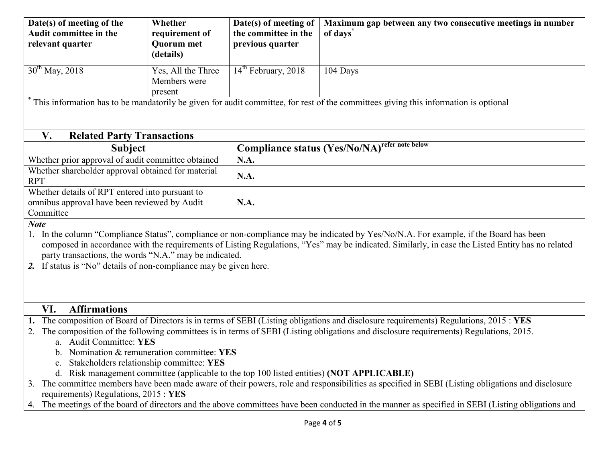| Date(s) of meeting of the<br>Audit committee in the<br>relevant quarter                                                                                                                        | Whether<br>requirement of<br><b>Quorum</b> met | Date(s) of meeting of<br>the committee in the<br>previous quarter | Maximum gap between any two consecutive meetings in number<br>of days <sup>®</sup>                                                                                                                                                                                                     |  |  |  |  |
|------------------------------------------------------------------------------------------------------------------------------------------------------------------------------------------------|------------------------------------------------|-------------------------------------------------------------------|----------------------------------------------------------------------------------------------------------------------------------------------------------------------------------------------------------------------------------------------------------------------------------------|--|--|--|--|
|                                                                                                                                                                                                | (details)                                      |                                                                   |                                                                                                                                                                                                                                                                                        |  |  |  |  |
| $30^{th}$ May, 2018                                                                                                                                                                            | Yes, All the Three<br>Members were<br>present  | 14 <sup>th</sup> February, 2018                                   | 104 Days                                                                                                                                                                                                                                                                               |  |  |  |  |
|                                                                                                                                                                                                |                                                |                                                                   | This information has to be mandatorily be given for audit committee, for rest of the committees giving this information is optional                                                                                                                                                    |  |  |  |  |
| V.<br><b>Related Party Transactions</b>                                                                                                                                                        |                                                |                                                                   |                                                                                                                                                                                                                                                                                        |  |  |  |  |
| <b>Subject</b>                                                                                                                                                                                 |                                                |                                                                   | <b>Compliance status (Yes/No/NA)</b> refer note below                                                                                                                                                                                                                                  |  |  |  |  |
| Whether prior approval of audit committee obtained                                                                                                                                             |                                                | N.A.                                                              |                                                                                                                                                                                                                                                                                        |  |  |  |  |
| Whether shareholder approval obtained for material<br><b>RPT</b>                                                                                                                               |                                                | N.A.                                                              |                                                                                                                                                                                                                                                                                        |  |  |  |  |
| Whether details of RPT entered into pursuant to                                                                                                                                                |                                                |                                                                   |                                                                                                                                                                                                                                                                                        |  |  |  |  |
| omnibus approval have been reviewed by Audit<br>Committee                                                                                                                                      |                                                | N.A.                                                              |                                                                                                                                                                                                                                                                                        |  |  |  |  |
| <b>Note</b>                                                                                                                                                                                    |                                                |                                                                   |                                                                                                                                                                                                                                                                                        |  |  |  |  |
| 1.                                                                                                                                                                                             |                                                |                                                                   | In the column "Compliance Status", compliance or non-compliance may be indicated by Yes/No/N.A. For example, if the Board has been<br>composed in accordance with the requirements of Listing Regulations, "Yes" may be indicated. Similarly, in case the Listed Entity has no related |  |  |  |  |
| party transactions, the words "N.A." may be indicated.                                                                                                                                         |                                                |                                                                   |                                                                                                                                                                                                                                                                                        |  |  |  |  |
| 2. If status is "No" details of non-compliance may be given here.                                                                                                                              |                                                |                                                                   |                                                                                                                                                                                                                                                                                        |  |  |  |  |
|                                                                                                                                                                                                |                                                |                                                                   |                                                                                                                                                                                                                                                                                        |  |  |  |  |
|                                                                                                                                                                                                |                                                |                                                                   |                                                                                                                                                                                                                                                                                        |  |  |  |  |
| <b>Affirmations</b><br>VI.                                                                                                                                                                     |                                                |                                                                   |                                                                                                                                                                                                                                                                                        |  |  |  |  |
| 1. The composition of Board of Directors is in terms of SEBI (Listing obligations and disclosure requirements) Regulations, 2015: YES                                                          |                                                |                                                                   |                                                                                                                                                                                                                                                                                        |  |  |  |  |
| The composition of the following committees is in terms of SEBI (Listing obligations and disclosure requirements) Regulations, 2015.<br>2.                                                     |                                                |                                                                   |                                                                                                                                                                                                                                                                                        |  |  |  |  |
| a. Audit Committee: YES<br>b. Nomination & remuneration committee: YES                                                                                                                         |                                                |                                                                   |                                                                                                                                                                                                                                                                                        |  |  |  |  |
| Stakeholders relationship committee: YES                                                                                                                                                       |                                                |                                                                   |                                                                                                                                                                                                                                                                                        |  |  |  |  |
| d. Risk management committee (applicable to the top 100 listed entities) (NOT APPLICABLE)                                                                                                      |                                                |                                                                   |                                                                                                                                                                                                                                                                                        |  |  |  |  |
| The committee members have been made aware of their powers, role and responsibilities as specified in SEBI (Listing obligations and disclosure                                                 |                                                |                                                                   |                                                                                                                                                                                                                                                                                        |  |  |  |  |
| requirements) Regulations, 2015 : YES<br>The meetings of the board of directors and the above committees have been conducted in the manner as specified in SEBI (Listing obligations and<br>4. |                                                |                                                                   |                                                                                                                                                                                                                                                                                        |  |  |  |  |
|                                                                                                                                                                                                |                                                |                                                                   |                                                                                                                                                                                                                                                                                        |  |  |  |  |